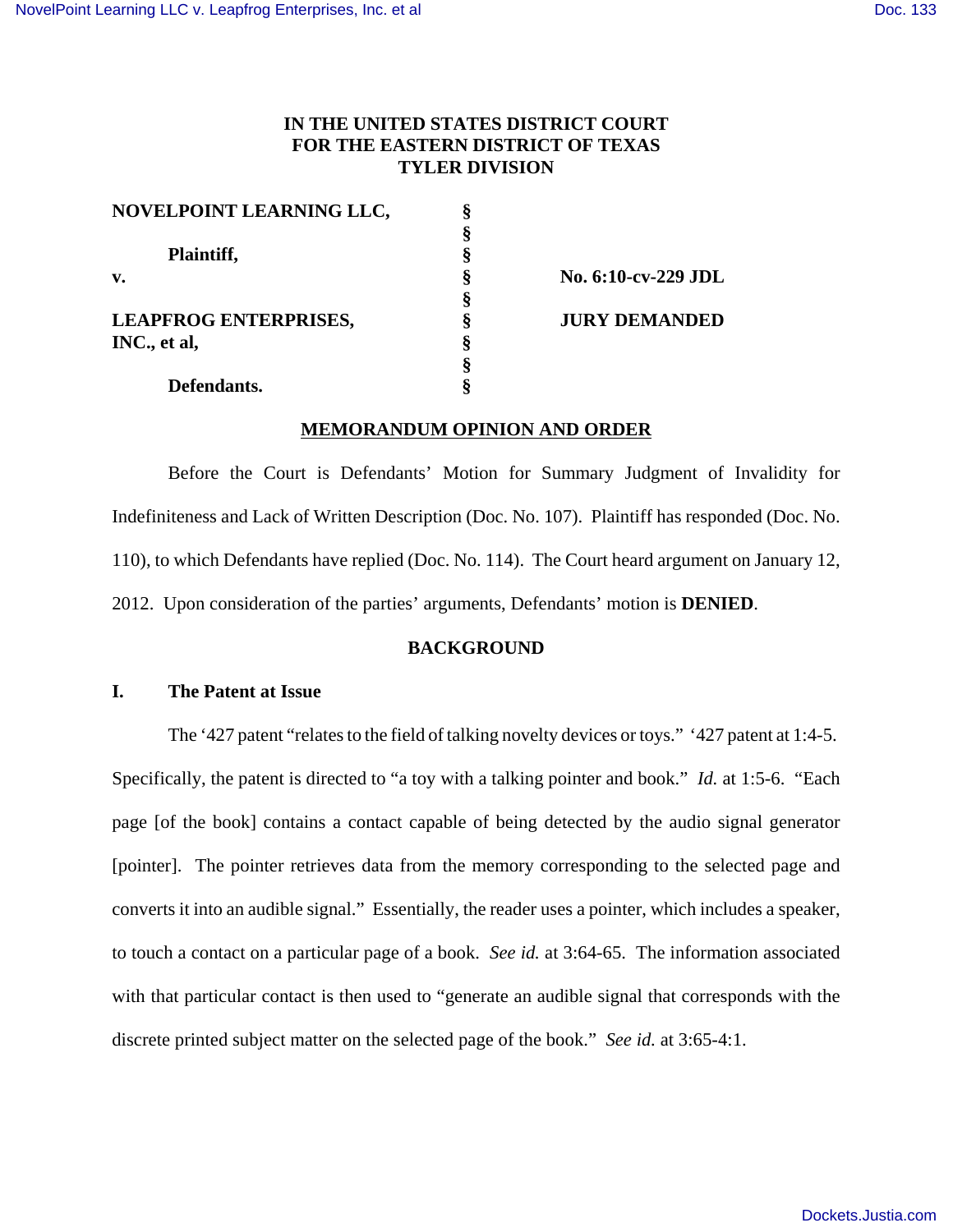# **IN THE UNITED STATES DISTRICT COURT FOR THE EASTERN DISTRICT OF TEXAS TYLER DIVISION**

| NOVELPOINT LEARNING LLC,     |                      |
|------------------------------|----------------------|
|                              |                      |
| Plaintiff,                   |                      |
| $\mathbf{v}$ .               | No. 6:10-cv-229 JDL  |
|                              |                      |
| <b>LEAPFROG ENTERPRISES,</b> | <b>JURY DEMANDED</b> |
| INC., et al,                 |                      |
|                              |                      |
| Defendants.                  |                      |

# **MEMORANDUM OPINION AND ORDER**

Before the Court is Defendants' Motion for Summary Judgment of Invalidity for Indefiniteness and Lack of Written Description (Doc. No. 107). Plaintiff has responded (Doc. No. 110), to which Defendants have replied (Doc. No. 114). The Court heard argument on January 12, 2012. Upon consideration of the parties' arguments, Defendants' motion is **DENIED**.

### **BACKGROUND**

### **I. The Patent at Issue**

The '427 patent "relates to the field of talking novelty devices or toys." '427 patent at 1:4-5. Specifically, the patent is directed to "a toy with a talking pointer and book." *Id.* at 1:5-6. "Each page [of the book] contains a contact capable of being detected by the audio signal generator [pointer]. The pointer retrieves data from the memory corresponding to the selected page and converts it into an audible signal." Essentially, the reader uses a pointer, which includes a speaker, to touch a contact on a particular page of a book. *See id.* at 3:64-65. The information associated with that particular contact is then used to "generate an audible signal that corresponds with the discrete printed subject matter on the selected page of the book." *See id.* at 3:65-4:1.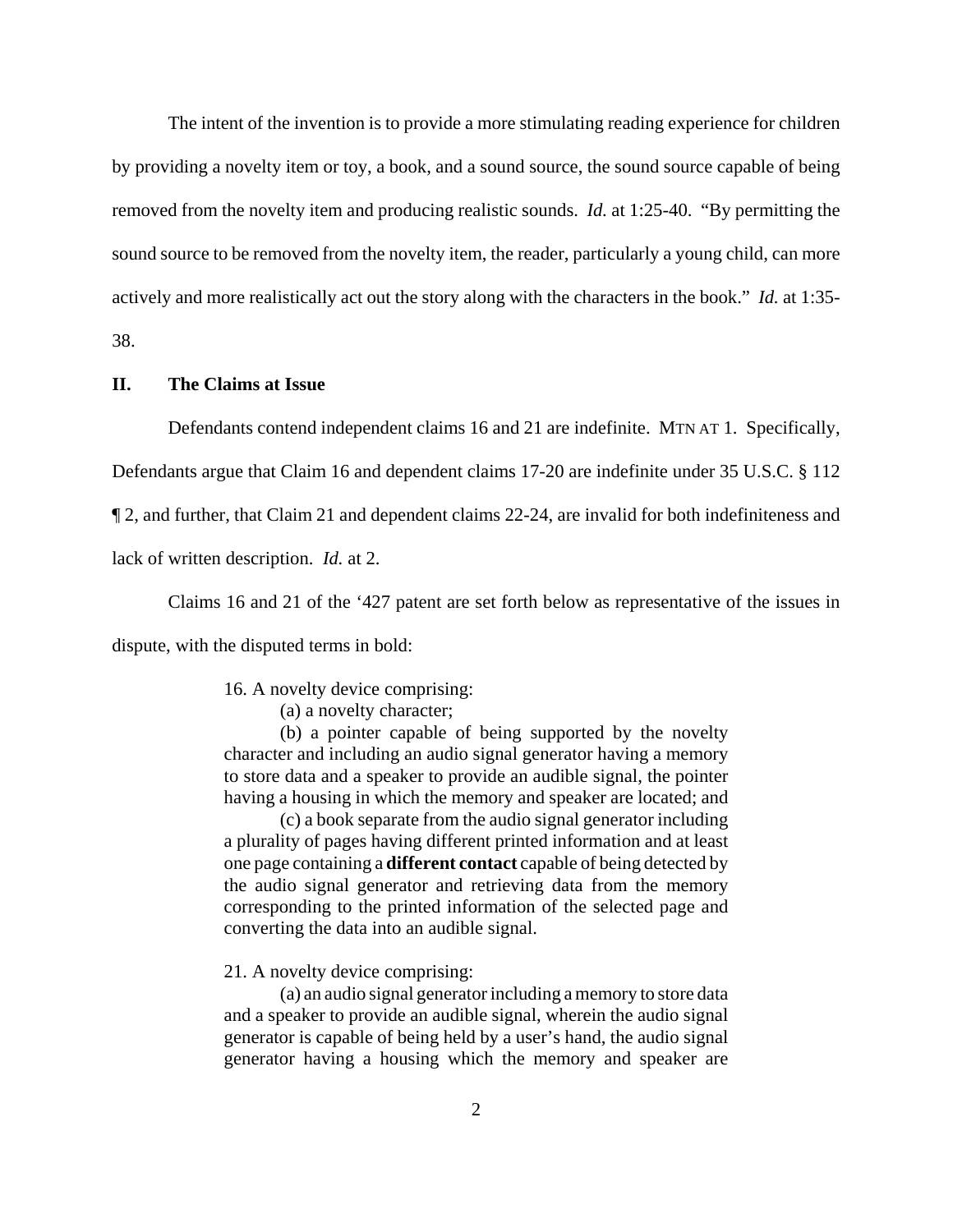The intent of the invention is to provide a more stimulating reading experience for children by providing a novelty item or toy, a book, and a sound source, the sound source capable of being removed from the novelty item and producing realistic sounds. *Id.* at 1:25-40. "By permitting the sound source to be removed from the novelty item, the reader, particularly a young child, can more actively and more realistically act out the story along with the characters in the book." *Id.* at 1:35- 38.

## **II. The Claims at Issue**

Defendants contend independent claims 16 and 21 are indefinite. MTN AT 1. Specifically,

Defendants argue that Claim 16 and dependent claims 17-20 are indefinite under 35 U.S.C. § 112

¶ 2, and further, that Claim 21 and dependent claims 22-24, are invalid for both indefiniteness and

lack of written description. *Id.* at 2.

Claims 16 and 21 of the '427 patent are set forth below as representative of the issues in

dispute, with the disputed terms in bold:

16. A novelty device comprising:

(a) a novelty character;

(b) a pointer capable of being supported by the novelty character and including an audio signal generator having a memory to store data and a speaker to provide an audible signal, the pointer having a housing in which the memory and speaker are located; and

(c) a book separate from the audio signal generator including a plurality of pages having different printed information and at least one page containing a **different contact** capable of being detected by the audio signal generator and retrieving data from the memory corresponding to the printed information of the selected page and converting the data into an audible signal.

21. A novelty device comprising:

(a) an audio signal generator including a memory to store data and a speaker to provide an audible signal, wherein the audio signal generator is capable of being held by a user's hand, the audio signal generator having a housing which the memory and speaker are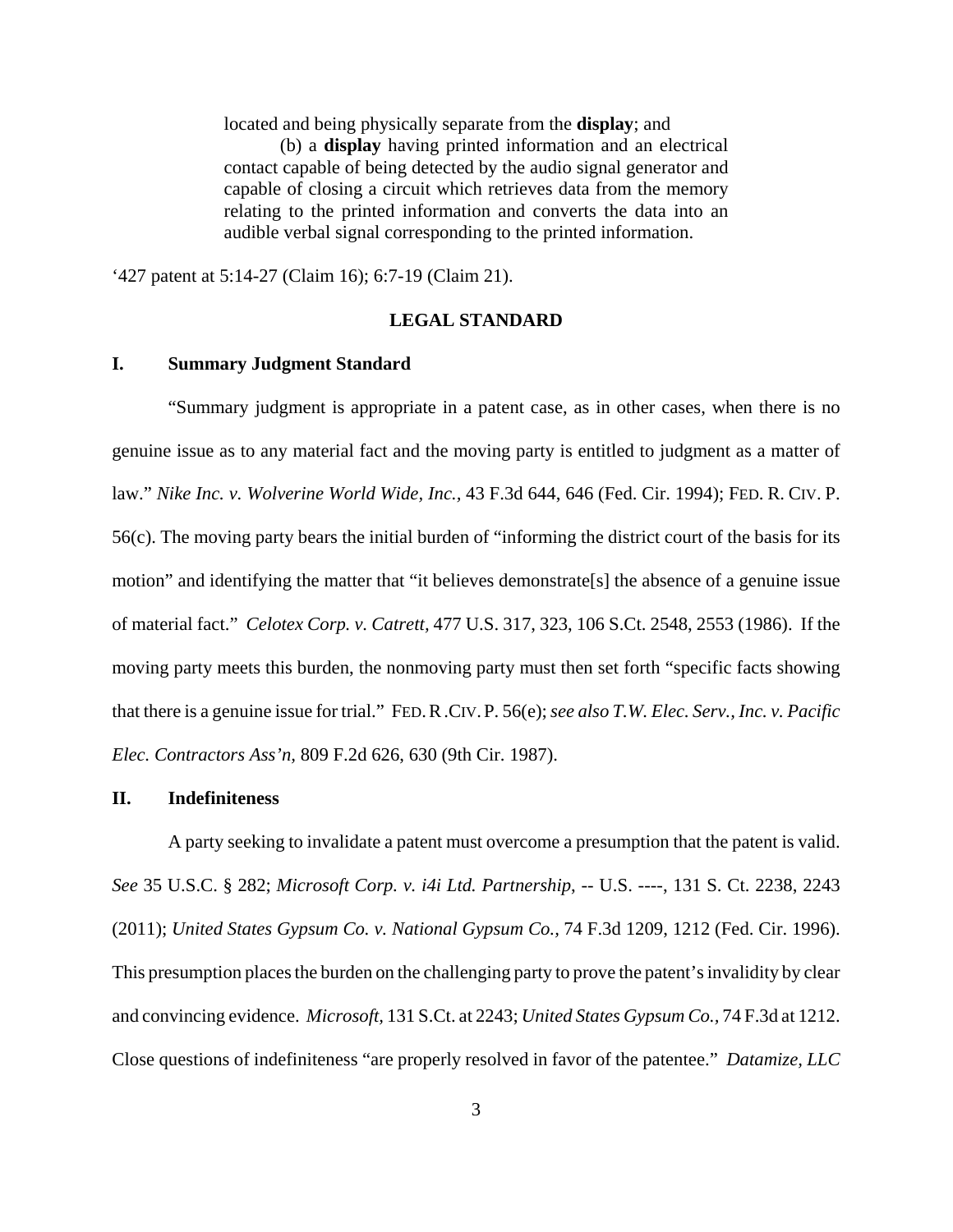located and being physically separate from the **display**; and

(b) a **display** having printed information and an electrical contact capable of being detected by the audio signal generator and capable of closing a circuit which retrieves data from the memory relating to the printed information and converts the data into an audible verbal signal corresponding to the printed information.

'427 patent at 5:14-27 (Claim 16); 6:7-19 (Claim 21).

#### **LEGAL STANDARD**

#### **I. Summary Judgment Standard**

"Summary judgment is appropriate in a patent case, as in other cases, when there is no genuine issue as to any material fact and the moving party is entitled to judgment as a matter of law." *Nike Inc. v. Wolverine World Wide, Inc.,* 43 F.3d 644, 646 (Fed. Cir. 1994); FED. R. CIV. P. 56(c). The moving party bears the initial burden of "informing the district court of the basis for its motion" and identifying the matter that "it believes demonstrate[s] the absence of a genuine issue of material fact." *Celotex Corp. v. Catrett,* 477 U.S. 317, 323, 106 S.Ct. 2548, 2553 (1986). If the moving party meets this burden, the nonmoving party must then set forth "specific facts showing that there is a genuine issue for trial." FED.R.CIV.P. 56(e); *see also T.W. Elec. Serv., Inc. v. Pacific Elec. Contractors Ass'n,* 809 F.2d 626, 630 (9th Cir. 1987).

## **II. Indefiniteness**

A party seeking to invalidate a patent must overcome a presumption that the patent is valid. *See* 35 U.S.C. § 282; *Microsoft Corp. v. i4i Ltd. Partnership*, -- U.S. ----, 131 S. Ct. 2238, 2243 (2011); *United States Gypsum Co. v. National Gypsum Co.,* 74 F.3d 1209, 1212 (Fed. Cir. 1996). This presumption places the burden on the challenging party to prove the patent's invalidity by clear and convincing evidence. *Microsoft,* 131 S.Ct. at 2243; *United States Gypsum Co.,* 74 F.3d at 1212. Close questions of indefiniteness "are properly resolved in favor of the patentee." *Datamize, LLC*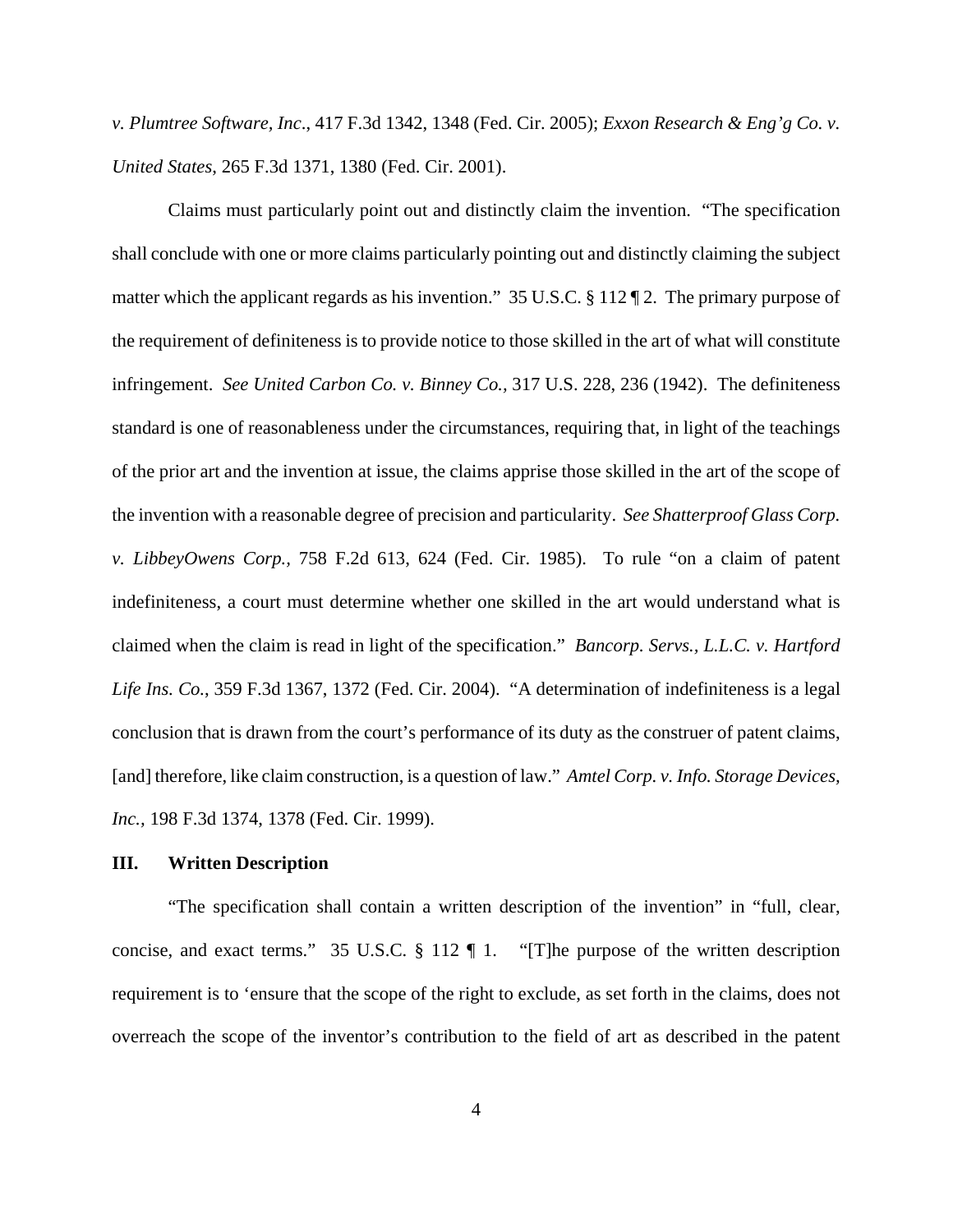*v. Plumtree Software, Inc*., 417 F.3d 1342, 1348 (Fed. Cir. 2005); *Exxon Research & Eng'g Co. v. United States*, 265 F.3d 1371, 1380 (Fed. Cir. 2001).

Claims must particularly point out and distinctly claim the invention. "The specification shall conclude with one or more claims particularly pointing out and distinctly claiming the subject matter which the applicant regards as his invention." 35 U.S.C. § 112 ¶ 2. The primary purpose of the requirement of definiteness is to provide notice to those skilled in the art of what will constitute infringement. *See United Carbon Co. v. Binney Co.,* 317 U.S. 228, 236 (1942). The definiteness standard is one of reasonableness under the circumstances, requiring that, in light of the teachings of the prior art and the invention at issue, the claims apprise those skilled in the art of the scope of the invention with a reasonable degree of precision and particularity. *See Shatterproof Glass Corp. v. LibbeyOwens Corp.,* 758 F.2d 613, 624 (Fed. Cir. 1985). To rule "on a claim of patent indefiniteness, a court must determine whether one skilled in the art would understand what is claimed when the claim is read in light of the specification." *Bancorp. Servs., L.L.C. v. Hartford Life Ins. Co.*, 359 F.3d 1367, 1372 (Fed. Cir. 2004). "A determination of indefiniteness is a legal conclusion that is drawn from the court's performance of its duty as the construer of patent claims, [and] therefore, like claim construction, is a question of law." *Amtel Corp. v. Info. Storage Devices, Inc.,* 198 F.3d 1374, 1378 (Fed. Cir. 1999).

#### **III. Written Description**

"The specification shall contain a written description of the invention" in "full, clear, concise, and exact terms." 35 U.S.C. § 112 ¶ 1. "[T]he purpose of the written description requirement is to 'ensure that the scope of the right to exclude, as set forth in the claims, does not overreach the scope of the inventor's contribution to the field of art as described in the patent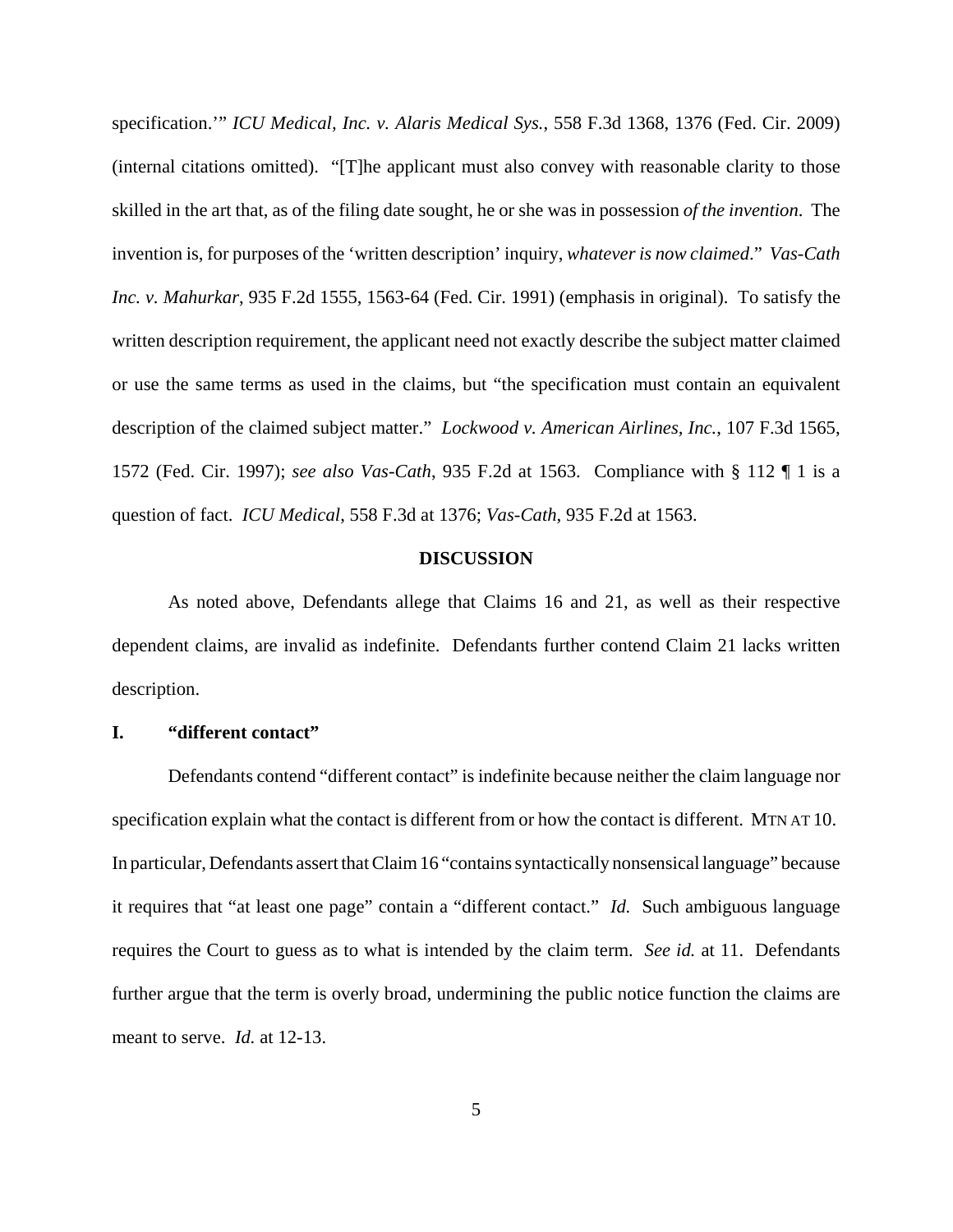specification.'" *ICU Medical, Inc. v. Alaris Medical Sys.*, 558 F.3d 1368, 1376 (Fed. Cir. 2009) (internal citations omitted). "[T]he applicant must also convey with reasonable clarity to those skilled in the art that, as of the filing date sought, he or she was in possession *of the invention*. The invention is, for purposes of the 'written description' inquiry, *whatever is now claimed*." *Vas-Cath Inc. v. Mahurkar*, 935 F.2d 1555, 1563-64 (Fed. Cir. 1991) (emphasis in original). To satisfy the written description requirement, the applicant need not exactly describe the subject matter claimed or use the same terms as used in the claims, but "the specification must contain an equivalent description of the claimed subject matter." *Lockwood v. American Airlines, Inc.*, 107 F.3d 1565, 1572 (Fed. Cir. 1997); *see also Vas-Cath*, 935 F.2d at 1563. Compliance with § 112 ¶ 1 is a question of fact. *ICU Medical*, 558 F.3d at 1376; *Vas-Cath*, 935 F.2d at 1563.

## **DISCUSSION**

As noted above, Defendants allege that Claims 16 and 21, as well as their respective dependent claims, are invalid as indefinite. Defendants further contend Claim 21 lacks written description.

#### **I. "different contact"**

Defendants contend "different contact" is indefinite because neither the claim language nor specification explain what the contact is different from or how the contact is different. MTN AT 10. In particular, Defendants assert that Claim 16 "contains syntactically nonsensical language" because it requires that "at least one page" contain a "different contact." *Id.* Such ambiguous language requires the Court to guess as to what is intended by the claim term. *See id.* at 11. Defendants further argue that the term is overly broad, undermining the public notice function the claims are meant to serve. *Id.* at 12-13.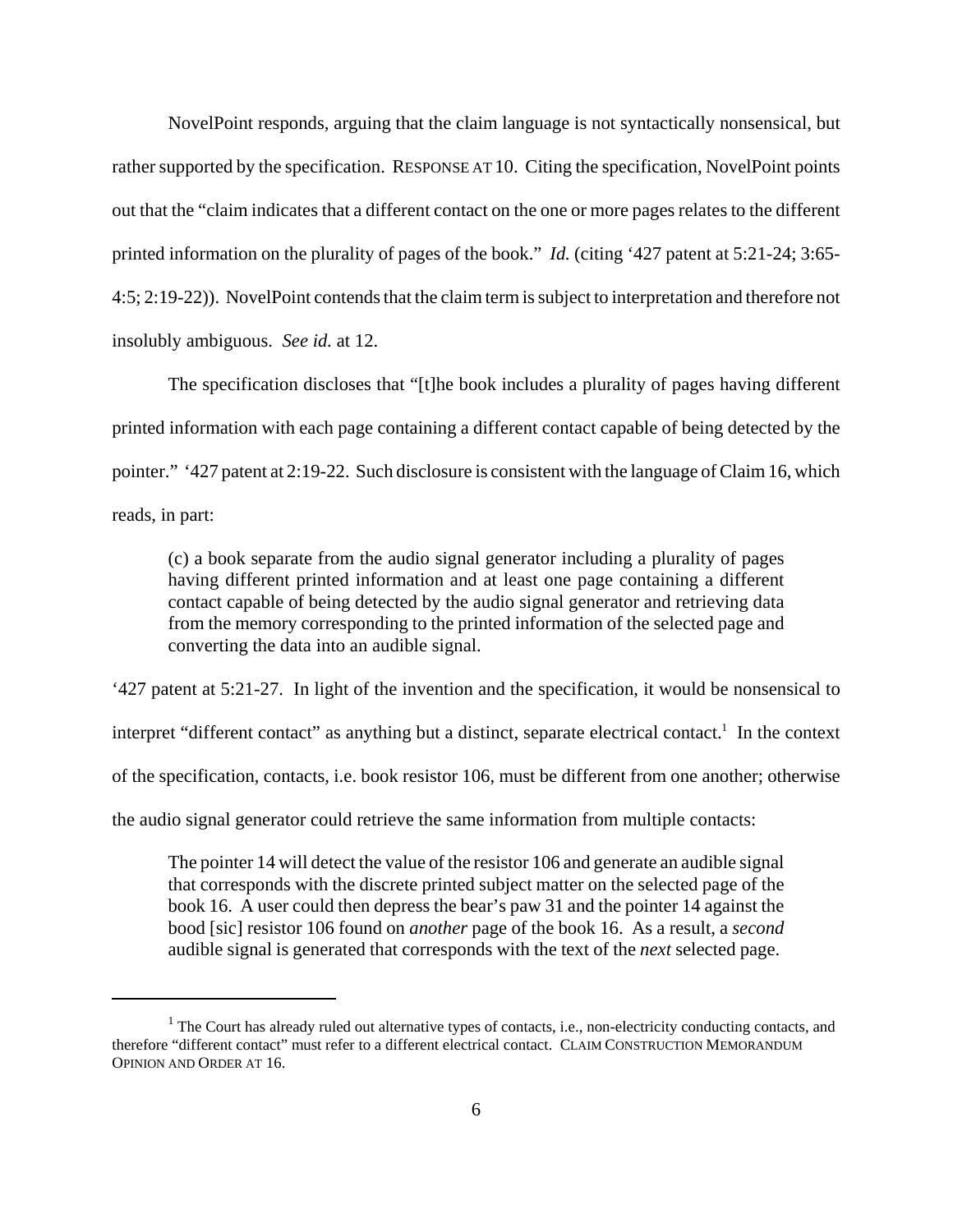NovelPoint responds, arguing that the claim language is not syntactically nonsensical, but rather supported by the specification. RESPONSE AT 10. Citing the specification, NovelPoint points out that the "claim indicates that a different contact on the one or more pages relates to the different printed information on the plurality of pages of the book." *Id.* (citing '427 patent at 5:21-24; 3:65- 4:5; 2:19-22)). NovelPoint contends that the claim term is subject to interpretation and therefore not insolubly ambiguous. *See id.* at 12.

The specification discloses that "[t]he book includes a plurality of pages having different printed information with each page containing a different contact capable of being detected by the pointer." '427 patent at 2:19-22. Such disclosure is consistent with the language of Claim 16, which reads, in part:

(c) a book separate from the audio signal generator including a plurality of pages having different printed information and at least one page containing a different contact capable of being detected by the audio signal generator and retrieving data from the memory corresponding to the printed information of the selected page and converting the data into an audible signal.

'427 patent at 5:21-27. In light of the invention and the specification, it would be nonsensical to interpret "different contact" as anything but a distinct, separate electrical contact.<sup>1</sup> In the context of the specification, contacts, i.e. book resistor 106, must be different from one another; otherwise the audio signal generator could retrieve the same information from multiple contacts:

The pointer 14 will detect the value of the resistor 106 and generate an audible signal that corresponds with the discrete printed subject matter on the selected page of the book 16. A user could then depress the bear's paw 31 and the pointer 14 against the bood [sic] resistor 106 found on *another* page of the book 16. As a result, a *second* audible signal is generated that corresponds with the text of the *next* selected page.

<sup>&</sup>lt;sup>1</sup> The Court has already ruled out alternative types of contacts, i.e., non-electricity conducting contacts, and therefore "different contact" must refer to a different electrical contact. CLAIM CONSTRUCTION MEMORANDUM OPINION AND ORDER AT 16.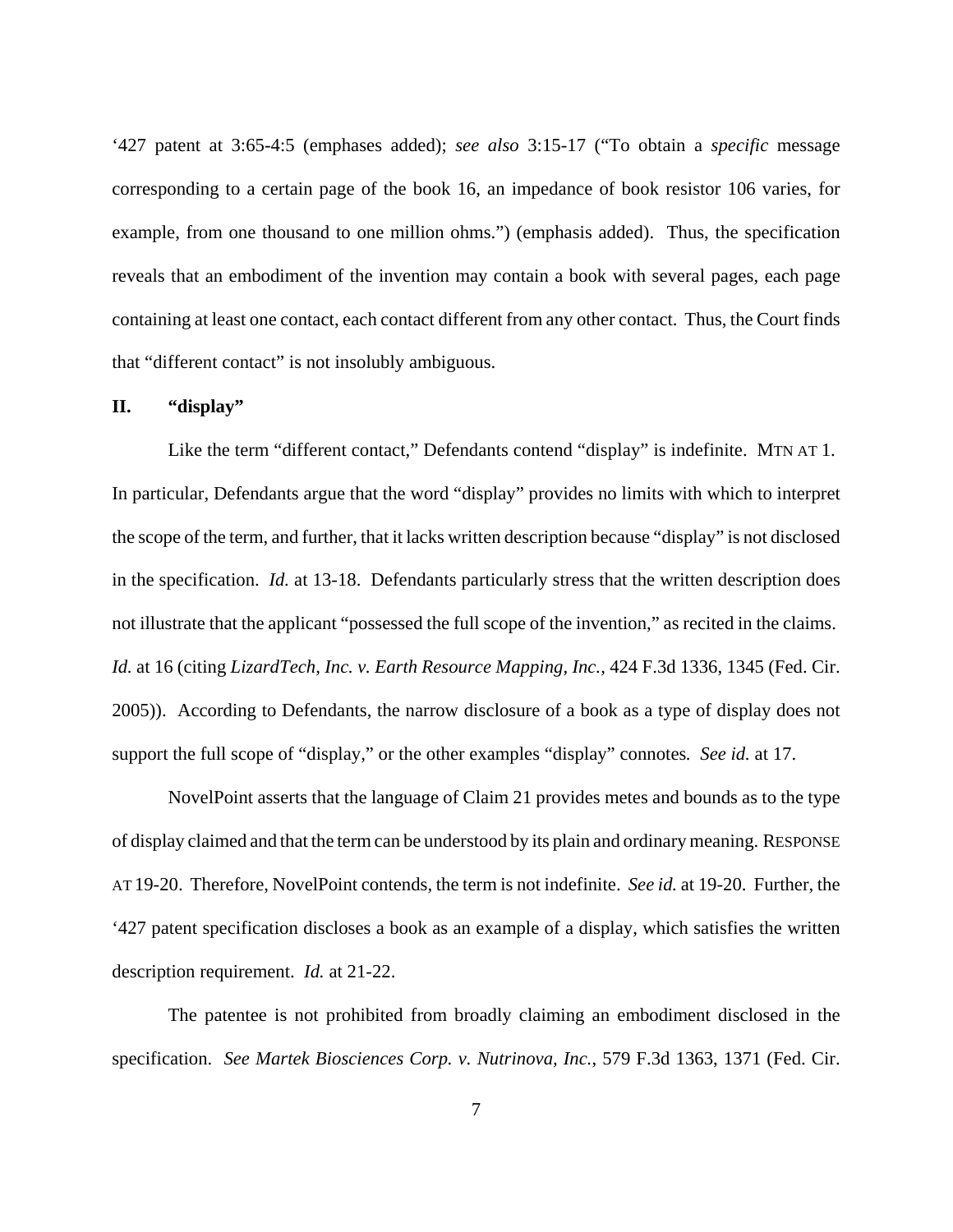'427 patent at 3:65-4:5 (emphases added); *see also* 3:15-17 ("To obtain a *specific* message corresponding to a certain page of the book 16, an impedance of book resistor 106 varies, for example, from one thousand to one million ohms.") (emphasis added). Thus, the specification reveals that an embodiment of the invention may contain a book with several pages, each page containing at least one contact, each contact different from any other contact. Thus, the Court finds that "different contact" is not insolubly ambiguous.

#### **II. "display"**

Like the term "different contact," Defendants contend "display" is indefinite. MTN AT 1. In particular, Defendants argue that the word "display" provides no limits with which to interpret the scope of the term, and further, that it lacks written description because "display" is not disclosed in the specification. *Id.* at 13-18. Defendants particularly stress that the written description does not illustrate that the applicant "possessed the full scope of the invention," as recited in the claims. *Id.* at 16 (citing *LizardTech, Inc. v. Earth Resource Mapping, Inc.,* 424 F.3d 1336, 1345 (Fed. Cir. 2005)). According to Defendants, the narrow disclosure of a book as a type of display does not support the full scope of "display," or the other examples "display" connotes*. See id.* at 17.

NovelPoint asserts that the language of Claim 21 provides metes and bounds as to the type of display claimed and that the term can be understood by its plain and ordinary meaning. RESPONSE AT 19-20. Therefore, NovelPoint contends, the term is not indefinite. *See id.* at 19-20. Further, the '427 patent specification discloses a book as an example of a display, which satisfies the written description requirement. *Id.* at 21-22.

The patentee is not prohibited from broadly claiming an embodiment disclosed in the specification. *See Martek Biosciences Corp. v. Nutrinova, Inc.*, 579 F.3d 1363, 1371 (Fed. Cir.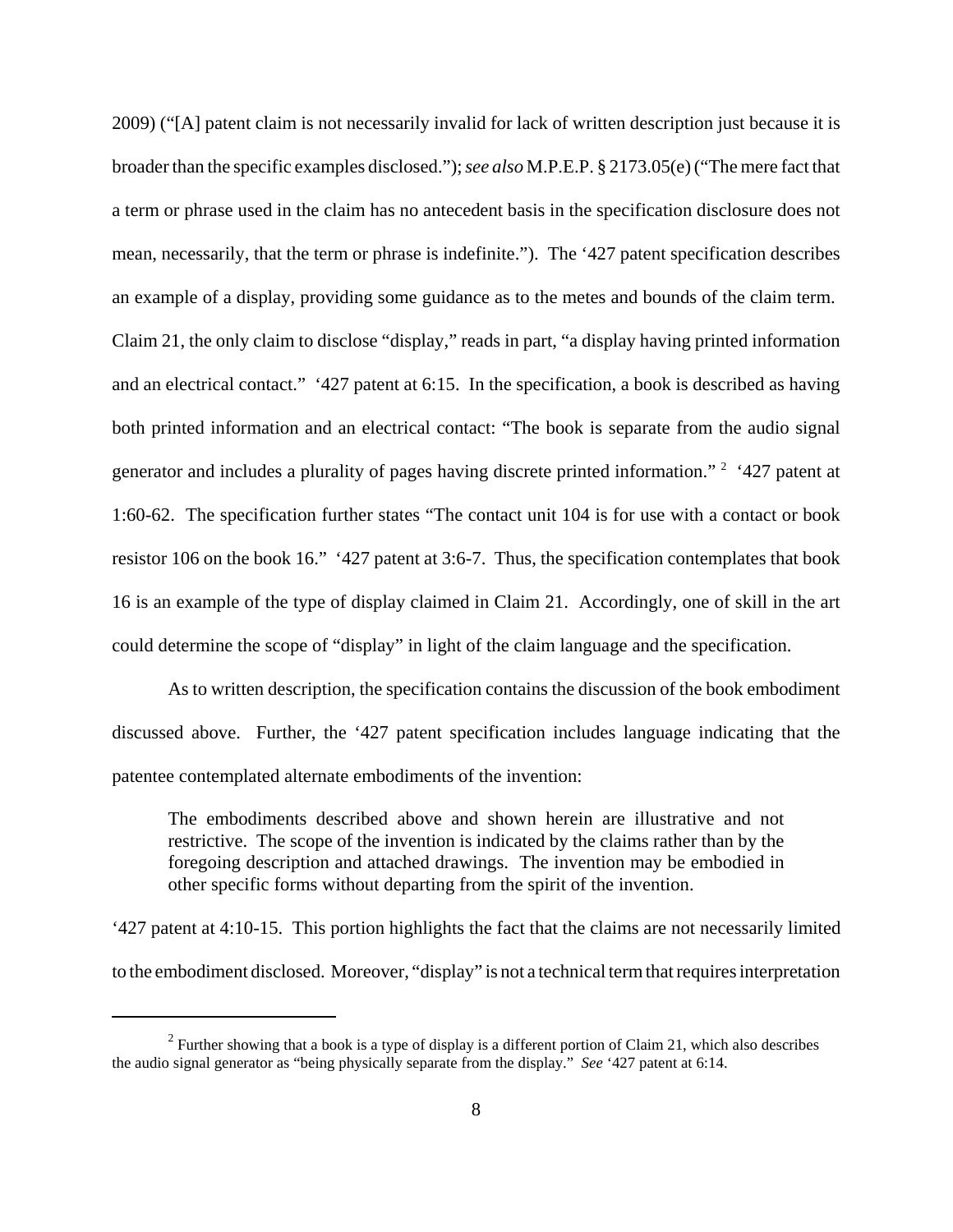2009) ("[A] patent claim is not necessarily invalid for lack of written description just because it is broader than the specific examples disclosed."); *see also* M.P.E.P. § 2173.05(e) ("The mere fact that a term or phrase used in the claim has no antecedent basis in the specification disclosure does not mean, necessarily, that the term or phrase is indefinite."). The '427 patent specification describes an example of a display, providing some guidance as to the metes and bounds of the claim term. Claim 21, the only claim to disclose "display," reads in part, "a display having printed information and an electrical contact." '427 patent at 6:15. In the specification, a book is described as having both printed information and an electrical contact: "The book is separate from the audio signal generator and includes a plurality of pages having discrete printed information."<sup>2</sup> '427 patent at 1:60-62. The specification further states "The contact unit 104 is for use with a contact or book resistor 106 on the book 16." '427 patent at 3:6-7. Thus, the specification contemplates that book 16 is an example of the type of display claimed in Claim 21. Accordingly, one of skill in the art could determine the scope of "display" in light of the claim language and the specification.

As to written description, the specification contains the discussion of the book embodiment discussed above. Further, the '427 patent specification includes language indicating that the patentee contemplated alternate embodiments of the invention:

The embodiments described above and shown herein are illustrative and not restrictive. The scope of the invention is indicated by the claims rather than by the foregoing description and attached drawings. The invention may be embodied in other specific forms without departing from the spirit of the invention.

'427 patent at 4:10-15. This portion highlights the fact that the claims are not necessarily limited to the embodiment disclosed. Moreover, "display" is not a technical term that requires interpretation

<sup>&</sup>lt;sup>2</sup> Further showing that a book is a type of display is a different portion of Claim 21, which also describes the audio signal generator as "being physically separate from the display." *See* '427 patent at 6:14.